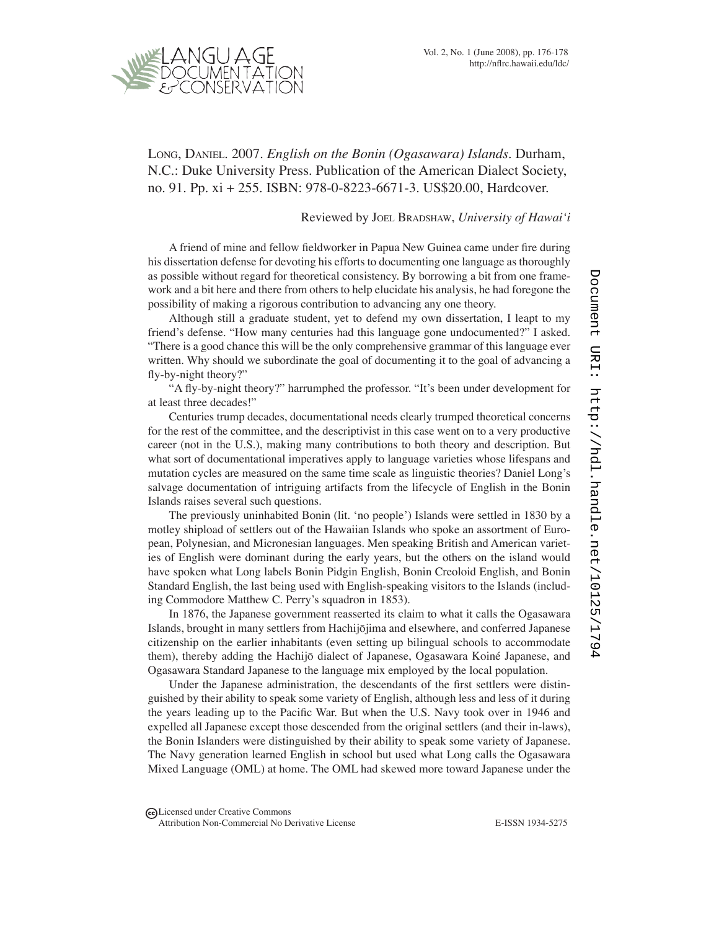

Long, Daniel. 2007. *English on the Bonin (Ogasawara) Islands*. Durham, N.C.: Duke University Press. Publication of the American Dialect Society, no. 91. Pp. xi + 255. ISBN: 978-0-8223-6671-3. US\$20.00, Hardcover.

## Reviewed by Joel Bradshaw, *University of Hawai'i*

A friend of mine and fellow fieldworker in Papua New Guinea came under fire during his dissertation defense for devoting his efforts to documenting one language as thoroughly as possible without regard for theoretical consistency. By borrowing a bit from one framework and a bit here and there from others to help elucidate his analysis, he had foregone the possibility of making a rigorous contribution to advancing any one theory.

Although still a graduate student, yet to defend my own dissertation, I leapt to my friend's defense. "How many centuries had this language gone undocumented?" I asked. "There is a good chance this will be the only comprehensive grammar of this language ever written. Why should we subordinate the goal of documenting it to the goal of advancing a fly-by-night theory?"

"A fly-by-night theory?" harrumphed the professor. "It's been under development for at least three decades!"

Centuries trump decades, documentational needs clearly trumped theoretical concerns for the rest of the committee, and the descriptivist in this case went on to a very productive career (not in the U.S.), making many contributions to both theory and description. But what sort of documentational imperatives apply to language varieties whose lifespans and mutation cycles are measured on the same time scale as linguistic theories? Daniel Long's salvage documentation of intriguing artifacts from the lifecycle of English in the Bonin Islands raises several such questions.

The previously uninhabited Bonin (lit. 'no people') Islands were settled in 1830 by a motley shipload of settlers out of the Hawaiian Islands who spoke an assortment of European, Polynesian, and Micronesian languages. Men speaking British and American varieties of English were dominant during the early years, but the others on the island would have spoken what Long labels Bonin Pidgin English, Bonin Creoloid English, and Bonin Standard English, the last being used with English-speaking visitors to the Islands (including Commodore Matthew C. Perry's squadron in 1853).

In 1876, the Japanese government reasserted its claim to what it calls the Ogasawara Islands, brought in many settlers from Hachijōjima and elsewhere, and conferred Japanese citizenship on the earlier inhabitants (even setting up bilingual schools to accommodate them), thereby adding the Hachijō dialect of Japanese, Ogasawara Koiné Japanese, and Ogasawara Standard Japanese to the language mix employed by the local population.

Under the Japanese administration, the descendants of the first settlers were distinguished by their ability to speak some variety of English, although less and less of it during the years leading up to the Pacific War. But when the U.S. Navy took over in 1946 and expelled all Japanese except those descended from the original settlers (and their in-laws), the Bonin Islanders were distinguished by their ability to speak some variety of Japanese. The Navy generation learned English in school but used what Long calls the Ogasawara Mixed Language (OML) at home. The OML had skewed more toward Japanese under the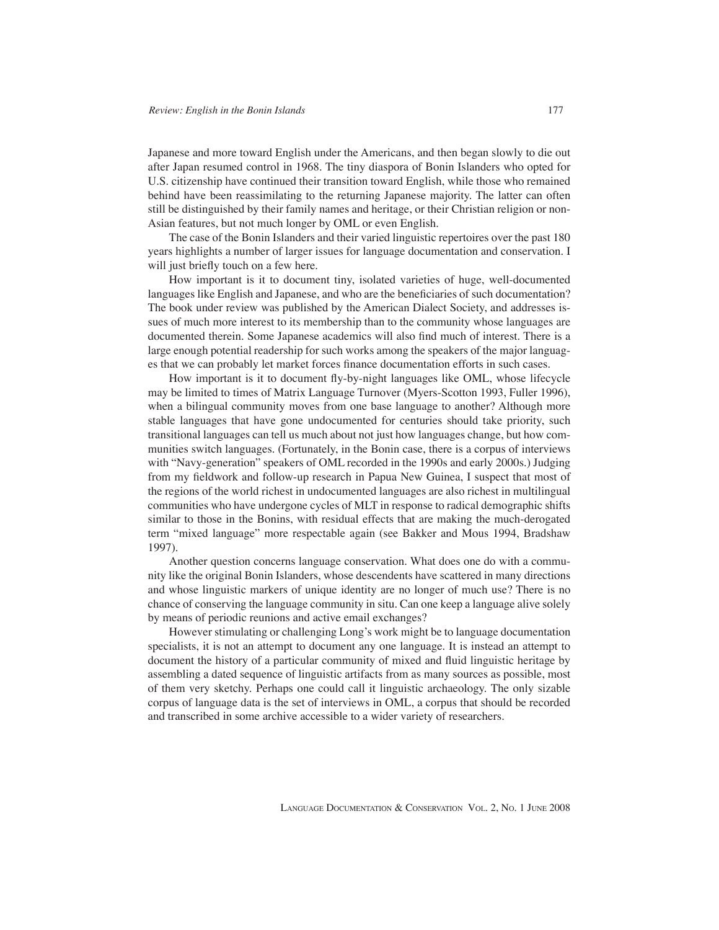Japanese and more toward English under the Americans, and then began slowly to die out after Japan resumed control in 1968. The tiny diaspora of Bonin Islanders who opted for U.S. citizenship have continued their transition toward English, while those who remained behind have been reassimilating to the returning Japanese majority. The latter can often still be distinguished by their family names and heritage, or their Christian religion or non-Asian features, but not much longer by OML or even English.

The case of the Bonin Islanders and their varied linguistic repertoires over the past 180 years highlights a number of larger issues for language documentation and conservation. I will just briefly touch on a few here.

How important is it to document tiny, isolated varieties of huge, well-documented languages like English and Japanese, and who are the beneficiaries of such documentation? The book under review was published by the American Dialect Society, and addresses issues of much more interest to its membership than to the community whose languages are documented therein. Some Japanese academics will also find much of interest. There is a large enough potential readership for such works among the speakers of the major languages that we can probably let market forces finance documentation efforts in such cases.

How important is it to document fly-by-night languages like OML, whose lifecycle may be limited to times of Matrix Language Turnover (Myers-Scotton 1993, Fuller 1996), when a bilingual community moves from one base language to another? Although more stable languages that have gone undocumented for centuries should take priority, such transitional languages can tell us much about not just how languages change, but how communities switch languages. (Fortunately, in the Bonin case, there is a corpus of interviews with "Navy-generation" speakers of OML recorded in the 1990s and early 2000s.) Judging from my fieldwork and follow-up research in Papua New Guinea, I suspect that most of the regions of the world richest in undocumented languages are also richest in multilingual communities who have undergone cycles of MLT in response to radical demographic shifts similar to those in the Bonins, with residual effects that are making the much-derogated term "mixed language" more respectable again (see Bakker and Mous 1994, Bradshaw 1997).

Another question concerns language conservation. What does one do with a community like the original Bonin Islanders, whose descendents have scattered in many directions and whose linguistic markers of unique identity are no longer of much use? There is no chance of conserving the language community in situ. Can one keep a language alive solely by means of periodic reunions and active email exchanges?

However stimulating or challenging Long's work might be to language documentation specialists, it is not an attempt to document any one language. It is instead an attempt to document the history of a particular community of mixed and fluid linguistic heritage by assembling a dated sequence of linguistic artifacts from as many sources as possible, most of them very sketchy. Perhaps one could call it linguistic archaeology. The only sizable corpus of language data is the set of interviews in OML, a corpus that should be recorded and transcribed in some archive accessible to a wider variety of researchers.